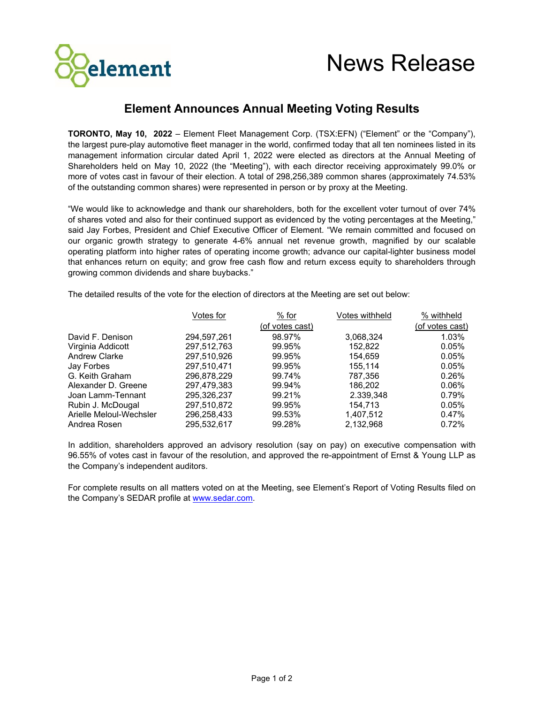

## **Element Announces Annual Meeting Voting Results**

**TORONTO, May 10, 2022** – Element Fleet Management Corp. (TSX:EFN) ("Element" or the "Company"), the largest pure-play automotive fleet manager in the world, confirmed today that all ten nominees listed in its management information circular dated April 1, 2022 were elected as directors at the Annual Meeting of Shareholders held on May 10, 2022 (the "Meeting"), with each director receiving approximately 99.0% or more of votes cast in favour of their election. A total of 298,256,389 common shares (approximately 74.53% of the outstanding common shares) were represented in person or by proxy at the Meeting.

"We would like to acknowledge and thank our shareholders, both for the excellent voter turnout of over 74% of shares voted and also for their continued support as evidenced by the voting percentages at the Meeting," said Jay Forbes, President and Chief Executive Officer of Element. "We remain committed and focused on our organic growth strategy to generate 4-6% annual net revenue growth, magnified by our scalable operating platform into higher rates of operating income growth; advance our capital-lighter business model that enhances return on equity; and grow free cash flow and return excess equity to shareholders through growing common dividends and share buybacks."

The detailed results of the vote for the election of directors at the Meeting are set out below:

|                         | Votes for   | % for           | Votes withheld | % withheld      |
|-------------------------|-------------|-----------------|----------------|-----------------|
|                         |             | (of votes cast) |                | (of votes cast) |
| David F. Denison        | 294,597,261 | 98.97%          | 3,068,324      | 1.03%           |
| Virginia Addicott       | 297,512,763 | 99.95%          | 152.822        | 0.05%           |
| <b>Andrew Clarke</b>    | 297,510,926 | 99.95%          | 154.659        | 0.05%           |
| Jay Forbes              | 297.510.471 | 99.95%          | 155.114        | 0.05%           |
| G. Keith Graham         | 296.878.229 | 99.74%          | 787.356        | 0.26%           |
| Alexander D. Greene     | 297.479.383 | 99.94%          | 186.202        | 0.06%           |
| Joan Lamm-Tennant       | 295.326.237 | 99.21%          | 2.339,348      | 0.79%           |
| Rubin J. McDougal       | 297,510,872 | 99.95%          | 154.713        | 0.05%           |
| Arielle Meloul-Wechsler | 296,258,433 | 99.53%          | 1,407,512      | 0.47%           |
| Andrea Rosen            | 295.532.617 | 99.28%          | 2.132.968      | 0.72%           |

In addition, shareholders approved an advisory resolution (say on pay) on executive compensation with 96.55% of votes cast in favour of the resolution, and approved the re-appointment of Ernst & Young LLP as the Company's independent auditors.

For complete results on all matters voted on at the Meeting, see Element's Report of Voting Results filed on the Company's SEDAR profile at [www.sedar.com.](http://www.sedar.com/)